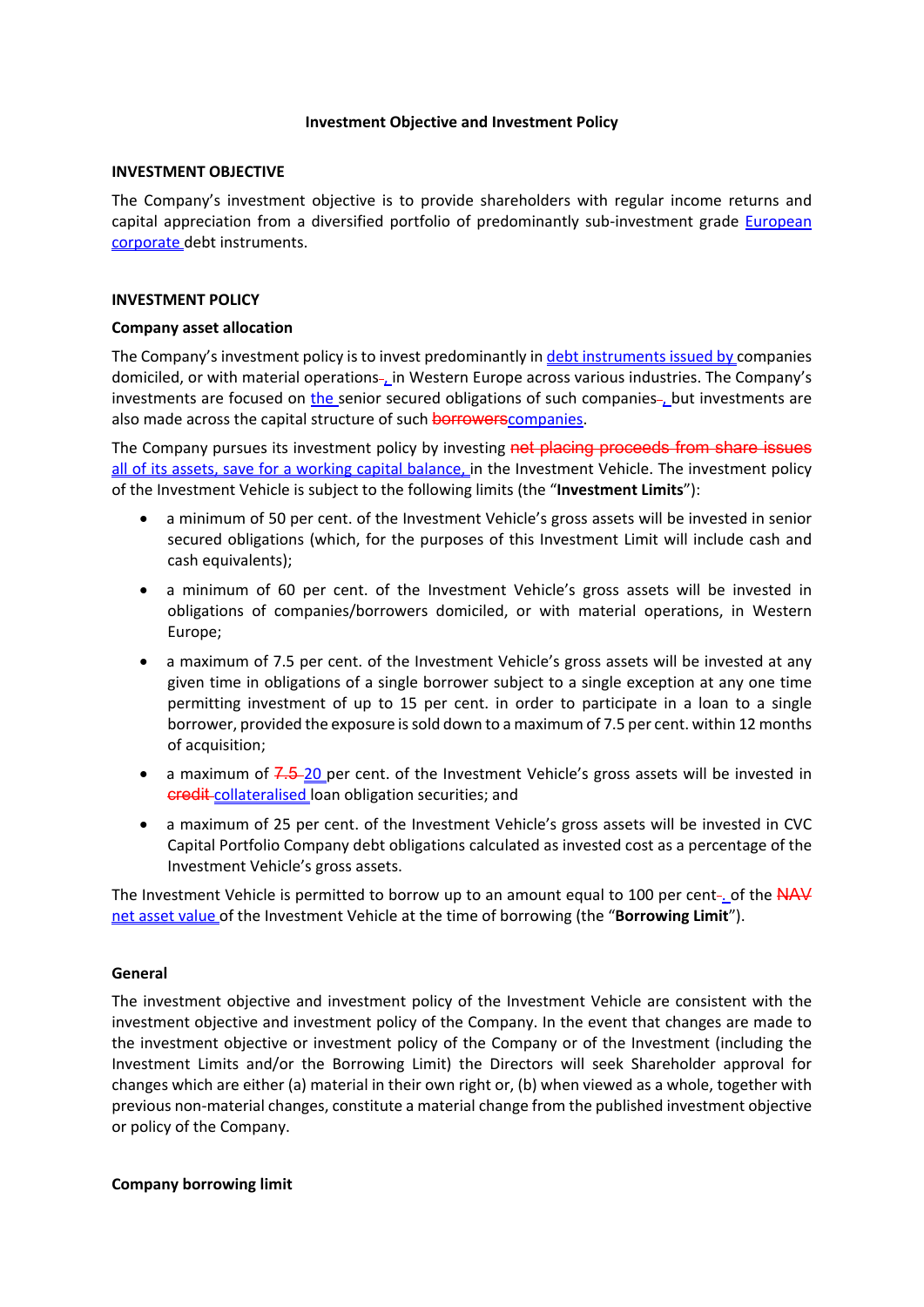## **Investment Objective and Investment Policy**

### **INVESTMENT OBJECTIVE**

The Company's investment objective is to provide shareholders with regular income returns and capital appreciation from a diversified portfolio of predominantly sub-investment grade European corporate debt instruments.

## **INVESTMENT POLICY**

### **Company asset allocation**

The Company's investment policy is to invest predominantly in debt instruments issued by companies domiciled, or with material operations-, in Western Europe across various industries. The Company's investments are focused on the senior secured obligations of such companies-but investments are also made across the capital structure of such **borrowers** companies.

The Company pursues its investment policy by investing net placing proceeds from share issues all of its assets, save for a working capital balance, in the Investment Vehicle. The investment policy of the Investment Vehicle is subject to the following limits (the "**Investment Limits**"):

- a minimum of 50 per cent. of the Investment Vehicle's gross assets will be invested in senior secured obligations (which, for the purposes of this Investment Limit will include cash and cash equivalents);
- a minimum of 60 per cent. of the Investment Vehicle's gross assets will be invested in obligations of companies/borrowers domiciled, or with material operations, in Western Europe;
- a maximum of 7.5 per cent. of the Investment Vehicle's gross assets will be invested at any given time in obligations of a single borrower subject to a single exception at any one time permitting investment of up to 15 per cent. in order to participate in a loan to a single borrower, provided the exposure is sold down to a maximum of 7.5 per cent. within 12 months of acquisition;
- $\bullet$  a maximum of  $7.5$ -20 per cent. of the Investment Vehicle's gross assets will be invested in credit-collateralised loan obligation securities; and
- a maximum of 25 per cent. of the Investment Vehicle's gross assets will be invested in CVC Capital Portfolio Company debt obligations calculated as invested cost as a percentage of the Investment Vehicle's gross assets.

The Investment Vehicle is permitted to borrow up to an amount equal to 100 per cent-of the  $NAV$ net asset value of the Investment Vehicle at the time of borrowing (the "**Borrowing Limit**").

# **General**

The investment objective and investment policy of the Investment Vehicle are consistent with the investment objective and investment policy of the Company. In the event that changes are made to the investment objective or investment policy of the Company or of the Investment (including the Investment Limits and/or the Borrowing Limit) the Directors will seek Shareholder approval for changes which are either (a) material in their own right or, (b) when viewed as a whole, together with previous non-material changes, constitute a material change from the published investment objective or policy of the Company.

# **Company borrowing limit**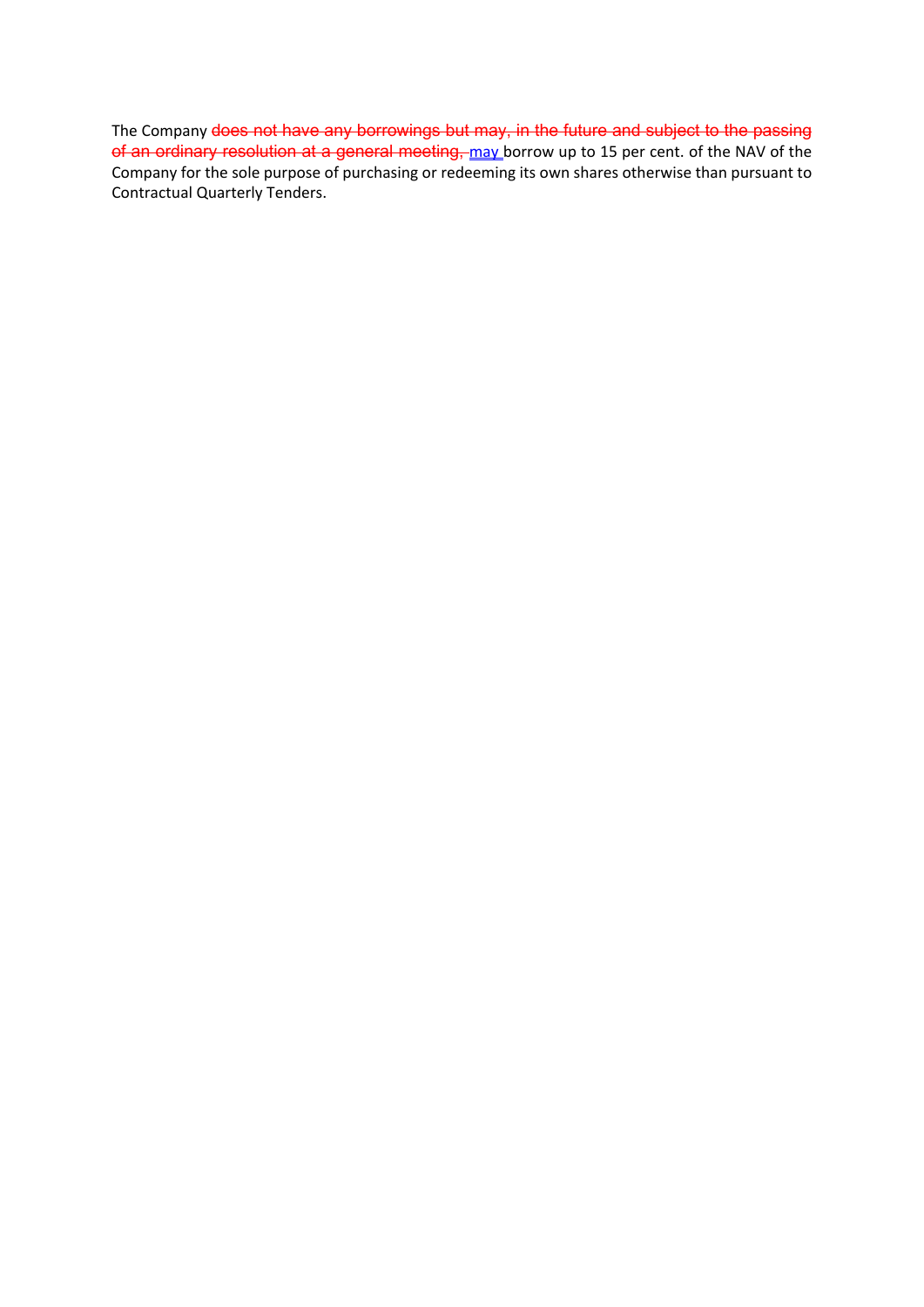The Company does not have any borrowings but may, in the future and subject to the passing of an ordinary resolution at a general meeting, may borrow up to 15 per cent. of the NAV of the Company for the sole purpose of purchasing or redeeming its own shares otherwise than pursuant to Contractual Quarterly Tenders.